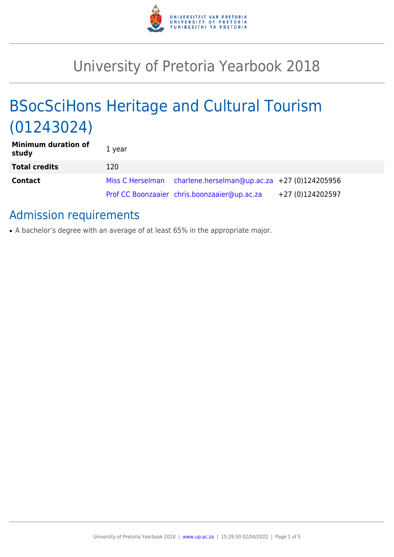

# University of Pretoria Yearbook 2018

# BSocSciHons Heritage and Cultural Tourism (01243024)

| <b>Minimum duration of</b><br>study | 1 year |                                                               |                  |
|-------------------------------------|--------|---------------------------------------------------------------|------------------|
| <b>Total credits</b>                | 120    |                                                               |                  |
| <b>Contact</b>                      |        | Miss C Herselman charlene.herselman@up.ac.za +27 (0)124205956 |                  |
|                                     |        | Prof CC Boonzaaier chris.boonzaaier@up.ac.za                  | +27 (0)124202597 |

# Admission requirements

• A bachelor's degree with an average of at least 65% in the appropriate major.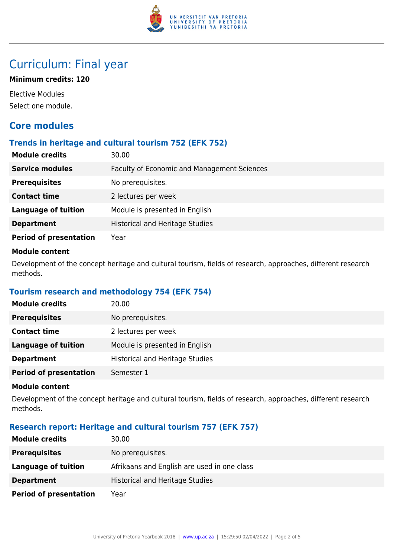

# Curriculum: Final year

# **Minimum credits: 120**

Elective Modules Select one module.

# **Core modules**

# **Trends in heritage and cultural tourism 752 (EFK 752)**

| <b>Module credits</b>         | 30.00                                              |
|-------------------------------|----------------------------------------------------|
| <b>Service modules</b>        | <b>Faculty of Economic and Management Sciences</b> |
| <b>Prerequisites</b>          | No prerequisites.                                  |
| <b>Contact time</b>           | 2 lectures per week                                |
| <b>Language of tuition</b>    | Module is presented in English                     |
| <b>Department</b>             | <b>Historical and Heritage Studies</b>             |
| <b>Period of presentation</b> | Year                                               |

### **Module content**

Development of the concept heritage and cultural tourism, fields of research, approaches, different research methods.

# **Tourism research and methodology 754 (EFK 754)**

| <b>Module credits</b>         | 20.00                                  |
|-------------------------------|----------------------------------------|
| <b>Prerequisites</b>          | No prerequisites.                      |
| <b>Contact time</b>           | 2 lectures per week                    |
| Language of tuition           | Module is presented in English         |
| <b>Department</b>             | <b>Historical and Heritage Studies</b> |
| <b>Period of presentation</b> | Semester 1                             |

#### **Module content**

Development of the concept heritage and cultural tourism, fields of research, approaches, different research methods.

# **Research report: Heritage and cultural tourism 757 (EFK 757)**

| <b>Module credits</b>         | 30.00                                       |
|-------------------------------|---------------------------------------------|
| <b>Prerequisites</b>          | No prerequisites.                           |
| Language of tuition           | Afrikaans and English are used in one class |
| <b>Department</b>             | <b>Historical and Heritage Studies</b>      |
| <b>Period of presentation</b> | Year                                        |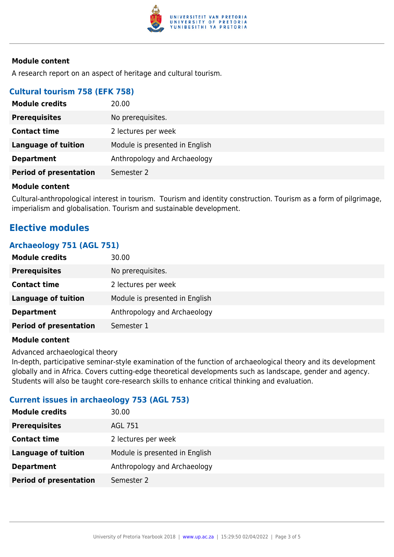

# **Module content**

A research report on an aspect of heritage and cultural tourism.

# **Cultural tourism 758 (EFK 758)**

| <b>Module credits</b>         | 20.00                          |
|-------------------------------|--------------------------------|
| <b>Prerequisites</b>          | No prerequisites.              |
| <b>Contact time</b>           | 2 lectures per week            |
| <b>Language of tuition</b>    | Module is presented in English |
| <b>Department</b>             | Anthropology and Archaeology   |
| <b>Period of presentation</b> | Semester 2                     |

#### **Module content**

Cultural-anthropological interest in tourism. Tourism and identity construction. Tourism as a form of pilgrimage, imperialism and globalisation. Tourism and sustainable development.

# **Elective modules**

# **Archaeology 751 (AGL 751)**

| <b>Module credits</b>         | 30.00                          |
|-------------------------------|--------------------------------|
| <b>Prerequisites</b>          | No prerequisites.              |
| <b>Contact time</b>           | 2 lectures per week            |
| Language of tuition           | Module is presented in English |
| <b>Department</b>             | Anthropology and Archaeology   |
| <b>Period of presentation</b> | Semester 1                     |

#### **Module content**

Advanced archaeological theory

In-depth, participative seminar-style examination of the function of archaeological theory and its development globally and in Africa. Covers cutting-edge theoretical developments such as landscape, gender and agency. Students will also be taught core-research skills to enhance critical thinking and evaluation.

# **Current issues in archaeology 753 (AGL 753)**

| <b>Module credits</b>         | 30.00                          |
|-------------------------------|--------------------------------|
| <b>Prerequisites</b>          | AGL 751                        |
| <b>Contact time</b>           | 2 lectures per week            |
| <b>Language of tuition</b>    | Module is presented in English |
| <b>Department</b>             | Anthropology and Archaeology   |
| <b>Period of presentation</b> | Semester 2                     |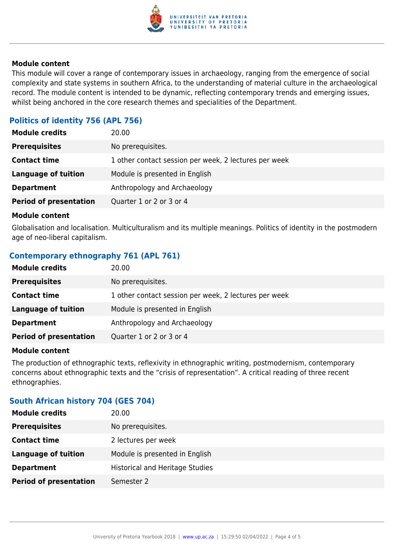

### **Module content**

This module will cover a range of contemporary issues in archaeology, ranging from the emergence of social complexity and state systems in southern Africa, to the understanding of material culture in the archaeological record. The module content is intended to be dynamic, reflecting contemporary trends and emerging issues, whilst being anchored in the core research themes and specialities of the Department.

# **Politics of identity 756 (APL 756)**

| <b>Module credits</b>         | 20.00                                                 |
|-------------------------------|-------------------------------------------------------|
| <b>Prerequisites</b>          | No prerequisites.                                     |
| <b>Contact time</b>           | 1 other contact session per week, 2 lectures per week |
| <b>Language of tuition</b>    | Module is presented in English                        |
| <b>Department</b>             | Anthropology and Archaeology                          |
| <b>Period of presentation</b> | Quarter 1 or 2 or 3 or 4                              |
|                               |                                                       |

#### **Module content**

Globalisation and localisation. Multiculturalism and its multiple meanings. Politics of identity in the postmodern age of neo-liberal capitalism.

# **Contemporary ethnography 761 (APL 761)**

| <b>Module credits</b>         | 20.00                                                 |
|-------------------------------|-------------------------------------------------------|
| <b>Prerequisites</b>          | No prerequisites.                                     |
| <b>Contact time</b>           | 1 other contact session per week, 2 lectures per week |
| Language of tuition           | Module is presented in English                        |
| <b>Department</b>             | Anthropology and Archaeology                          |
| <b>Period of presentation</b> | Quarter 1 or 2 or 3 or 4                              |

#### **Module content**

The production of ethnographic texts, reflexivity in ethnographic writing, postmodernism, contemporary concerns about ethnographic texts and the "crisis of representation". A critical reading of three recent ethnographies.

# **South African history 704 (GES 704)**

| <b>Module credits</b><br>20.00                               |  |
|--------------------------------------------------------------|--|
| <b>Prerequisites</b><br>No prerequisites.                    |  |
| <b>Contact time</b><br>2 lectures per week                   |  |
| Module is presented in English<br><b>Language of tuition</b> |  |
| <b>Historical and Heritage Studies</b><br><b>Department</b>  |  |
| <b>Period of presentation</b><br>Semester 2                  |  |